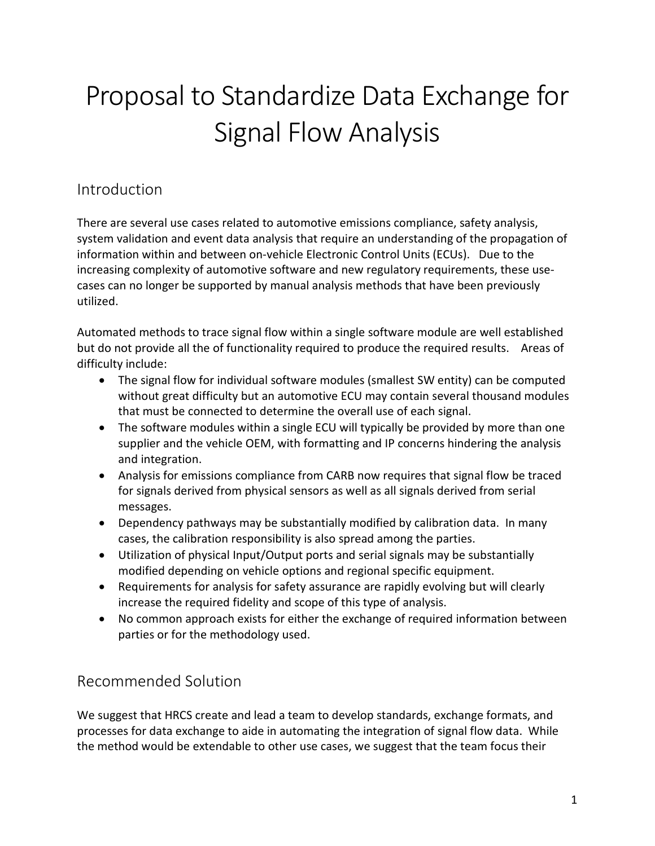# Proposal to Standardize Data Exchange for Signal Flow Analysis

## Introduction

There are several use cases related to automotive emissions compliance, safety analysis, system validation and event data analysis that require an understanding of the propagation of information within and between on-vehicle Electronic Control Units (ECUs). Due to the increasing complexity of automotive software and new regulatory requirements, these usecases can no longer be supported by manual analysis methods that have been previously utilized.

Automated methods to trace signal flow within a single software module are well established but do not provide all the of functionality required to produce the required results. Areas of difficulty include:

- The signal flow for individual software modules (smallest SW entity) can be computed without great difficulty but an automotive ECU may contain several thousand modules that must be connected to determine the overall use of each signal.
- The software modules within a single ECU will typically be provided by more than one supplier and the vehicle OEM, with formatting and IP concerns hindering the analysis and integration.
- Analysis for emissions compliance from CARB now requires that signal flow be traced for signals derived from physical sensors as well as all signals derived from serial messages.
- Dependency pathways may be substantially modified by calibration data. In many cases, the calibration responsibility is also spread among the parties.
- Utilization of physical Input/Output ports and serial signals may be substantially modified depending on vehicle options and regional specific equipment.
- Requirements for analysis for safety assurance are rapidly evolving but will clearly increase the required fidelity and scope of this type of analysis.
- No common approach exists for either the exchange of required information between parties or for the methodology used.

## Recommended Solution

We suggest that HRCS create and lead a team to develop standards, exchange formats, and processes for data exchange to aide in automating the integration of signal flow data. While the method would be extendable to other use cases, we suggest that the team focus their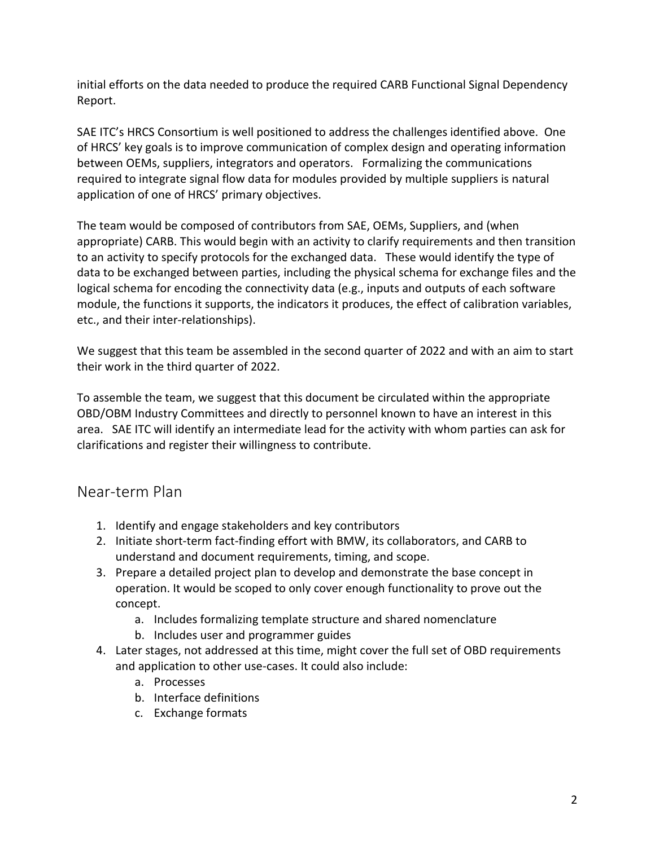initial efforts on the data needed to produce the required CARB Functional Signal Dependency Report.

SAE ITC's HRCS Consortium is well positioned to address the challenges identified above. One of HRCS' key goals is to improve communication of complex design and operating information between OEMs, suppliers, integrators and operators. Formalizing the communications required to integrate signal flow data for modules provided by multiple suppliers is natural application of one of HRCS' primary objectives.

The team would be composed of contributors from SAE, OEMs, Suppliers, and (when appropriate) CARB. This would begin with an activity to clarify requirements and then transition to an activity to specify protocols for the exchanged data. These would identify the type of data to be exchanged between parties, including the physical schema for exchange files and the logical schema for encoding the connectivity data (e.g., inputs and outputs of each software module, the functions it supports, the indicators it produces, the effect of calibration variables, etc., and their inter-relationships).

We suggest that this team be assembled in the second quarter of 2022 and with an aim to start their work in the third quarter of 2022.

To assemble the team, we suggest that this document be circulated within the appropriate OBD/OBM Industry Committees and directly to personnel known to have an interest in this area. SAE ITC will identify an intermediate lead for the activity with whom parties can ask for clarifications and register their willingness to contribute.

### Near-term Plan

- 1. Identify and engage stakeholders and key contributors
- 2. Initiate short-term fact-finding effort with BMW, its collaborators, and CARB to understand and document requirements, timing, and scope.
- 3. Prepare a detailed project plan to develop and demonstrate the base concept in operation. It would be scoped to only cover enough functionality to prove out the concept.
	- a. Includes formalizing template structure and shared nomenclature
	- b. Includes user and programmer guides
- 4. Later stages, not addressed at this time, might cover the full set of OBD requirements and application to other use-cases. It could also include:
	- a. Processes
	- b. Interface definitions
	- c. Exchange formats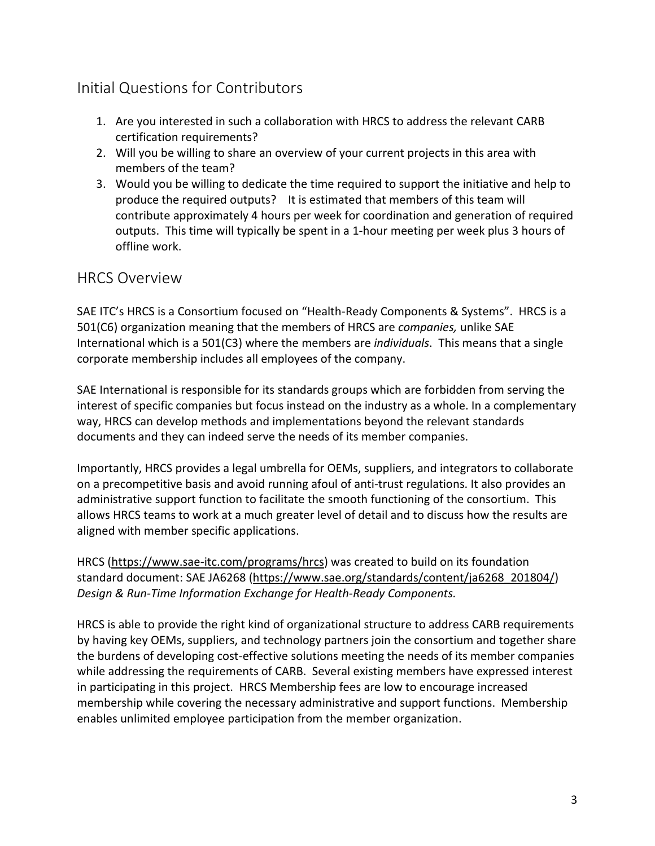## Initial Questions for Contributors

- 1. Are you interested in such a collaboration with HRCS to address the relevant CARB certification requirements?
- 2. Will you be willing to share an overview of your current projects in this area with members of the team?
- 3. Would you be willing to dedicate the time required to support the initiative and help to produce the required outputs? It is estimated that members of this team will contribute approximately 4 hours per week for coordination and generation of required outputs. This time will typically be spent in a 1-hour meeting per week plus 3 hours of offline work.

#### HRCS Overview

SAE ITC's HRCS is a Consortium focused on "Health-Ready Components & Systems". HRCS is a 501(C6) organization meaning that the members of HRCS are *companies,* unlike SAE International which is a 501(C3) where the members are *individuals*. This means that a single corporate membership includes all employees of the company.

SAE International is responsible for its standards groups which are forbidden from serving the interest of specific companies but focus instead on the industry as a whole. In a complementary way, HRCS can develop methods and implementations beyond the relevant standards documents and they can indeed serve the needs of its member companies.

Importantly, HRCS provides a legal umbrella for OEMs, suppliers, and integrators to collaborate on a precompetitive basis and avoid running afoul of anti-trust regulations. It also provides an administrative support function to facilitate the smooth functioning of the consortium. This allows HRCS teams to work at a much greater level of detail and to discuss how the results are aligned with member specific applications.

HRCS [\(https://www.sae-itc.com/programs/hrcs\)](https://www.sae-itc.com/programs/hrcs) was created to build on its foundation standard document: SAE JA6268 [\(https://www.sae.org/standards/content/ja6268\\_201804/\)](https://www.sae.org/standards/content/ja6268_201804/) *Design & Run-Time Information Exchange for Health-Ready Components.*

HRCS is able to provide the right kind of organizational structure to address CARB requirements by having key OEMs, suppliers, and technology partners join the consortium and together share the burdens of developing cost-effective solutions meeting the needs of its member companies while addressing the requirements of CARB. Several existing members have expressed interest in participating in this project. HRCS Membership fees are low to encourage increased membership while covering the necessary administrative and support functions. Membership enables unlimited employee participation from the member organization.